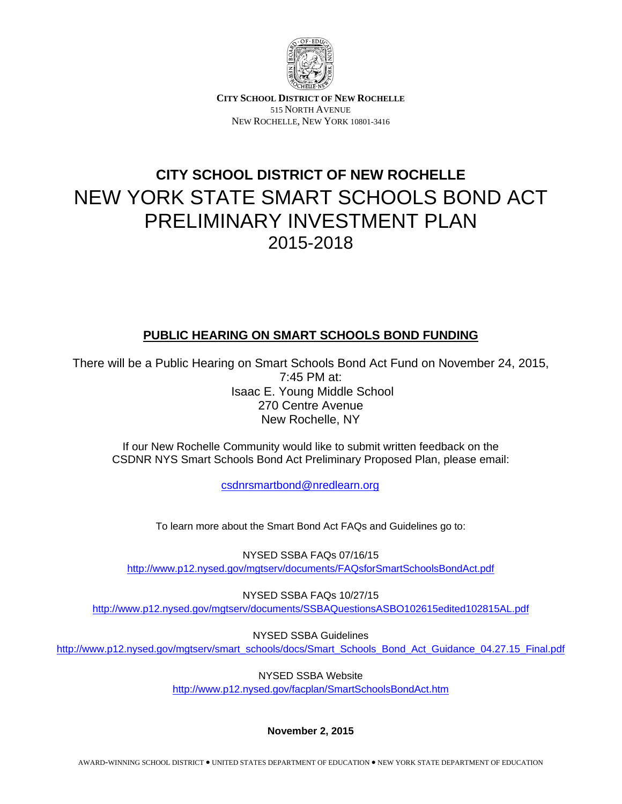

**CITY SCHOOL DISTRICT OF NEW ROCHELLE** 515 NORTH AVENUE NEW ROCHELLE, NEW YORK 10801-3416

# **CITY SCHOOL DISTRICT OF NEW ROCHELLE**  NEW YORK STATE SMART SCHOOLS BOND ACT PRELIMINARY INVESTMENT PLAN 2015-2018

# **PUBLIC HEARING ON SMART SCHOOLS BOND FUNDING**

There will be a Public Hearing on Smart Schools Bond Act Fund on November 24, 2015, 7:45 PM at: Isaac E. Young Middle School 270 Centre Avenue New Rochelle, NY

If our New Rochelle Community would like to submit written feedback on the CSDNR NYS Smart Schools Bond Act Preliminary Proposed Plan, please email:

csdnrsmartbond@nredlearn.org

To learn more about the Smart Bond Act FAQs and Guidelines go to:

NYSED SSBA FAQs 07/16/15 http://www.p12.nysed.gov/mgtserv/documents/FAQsforSmartSchoolsBondAct.pdf

NYSED SSBA FAQs 10/27/15 http://www.p12.nysed.gov/mgtserv/documents/SSBAQuestionsASBO102615edited102815AL.pdf

NYSED SSBA Guidelines http://www.p12.nysed.gov/mgtserv/smart\_schools/docs/Smart\_Schools\_Bond\_Act\_Guidance\_04.27.15\_Final.pdf

NYSED SSBA Website

http://www.p12.nysed.gov/facplan/SmartSchoolsBondAct.htm

**November 2, 2015**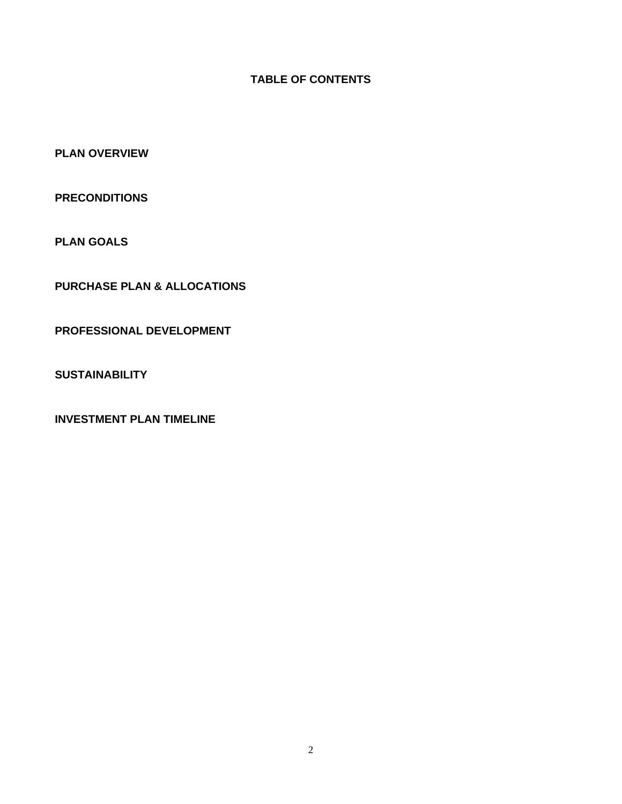## **TABLE OF CONTENTS**

**PLAN OVERVIEW** 

**PRECONDITIONS** 

**PLAN GOALS** 

**PURCHASE PLAN & ALLOCATIONS** 

**PROFESSIONAL DEVELOPMENT** 

**SUSTAINABILITY** 

**INVESTMENT PLAN TIMELINE**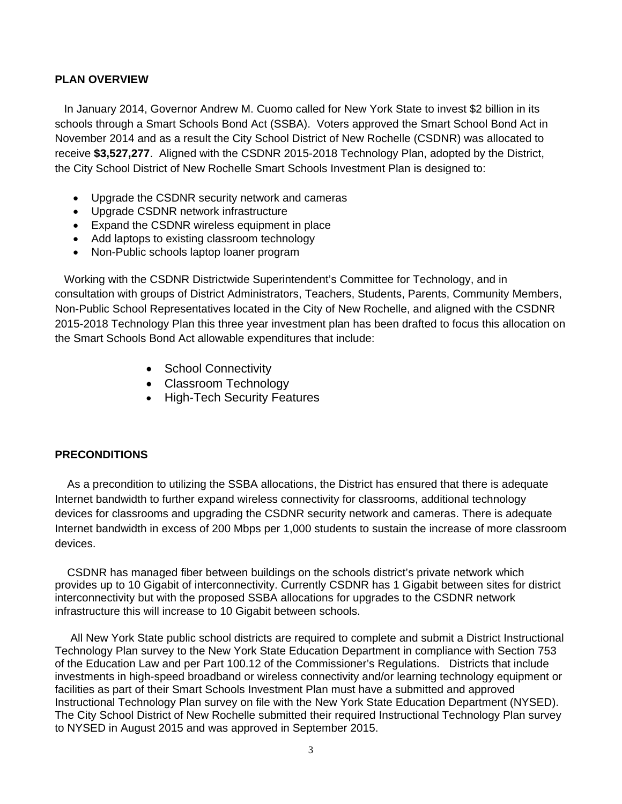#### **PLAN OVERVIEW**

 In January 2014, Governor Andrew M. Cuomo called for New York State to invest \$2 billion in its schools through a Smart Schools Bond Act (SSBA). Voters approved the Smart School Bond Act in November 2014 and as a result the City School District of New Rochelle (CSDNR) was allocated to receive **\$3,527,277**. Aligned with the CSDNR 2015-2018 Technology Plan, adopted by the District, the City School District of New Rochelle Smart Schools Investment Plan is designed to:

- Upgrade the CSDNR security network and cameras
- Upgrade CSDNR network infrastructure
- Expand the CSDNR wireless equipment in place
- Add laptops to existing classroom technology
- Non-Public schools laptop loaner program

 Working with the CSDNR Districtwide Superintendent's Committee for Technology, and in consultation with groups of District Administrators, Teachers, Students, Parents, Community Members, Non-Public School Representatives located in the City of New Rochelle, and aligned with the CSDNR 2015-2018 Technology Plan this three year investment plan has been drafted to focus this allocation on the Smart Schools Bond Act allowable expenditures that include:

- School Connectivity
- Classroom Technology
- High-Tech Security Features

#### **PRECONDITIONS**

 As a precondition to utilizing the SSBA allocations, the District has ensured that there is adequate Internet bandwidth to further expand wireless connectivity for classrooms, additional technology devices for classrooms and upgrading the CSDNR security network and cameras. There is adequate Internet bandwidth in excess of 200 Mbps per 1,000 students to sustain the increase of more classroom devices.

 CSDNR has managed fiber between buildings on the schools district's private network which provides up to 10 Gigabit of interconnectivity. Currently CSDNR has 1 Gigabit between sites for district interconnectivity but with the proposed SSBA allocations for upgrades to the CSDNR network infrastructure this will increase to 10 Gigabit between schools.

 All New York State public school districts are required to complete and submit a District Instructional Technology Plan survey to the New York State Education Department in compliance with Section 753 of the Education Law and per Part 100.12 of the Commissioner's Regulations. Districts that include investments in high-speed broadband or wireless connectivity and/or learning technology equipment or facilities as part of their Smart Schools Investment Plan must have a submitted and approved Instructional Technology Plan survey on file with the New York State Education Department (NYSED). The City School District of New Rochelle submitted their required Instructional Technology Plan survey to NYSED in August 2015 and was approved in September 2015.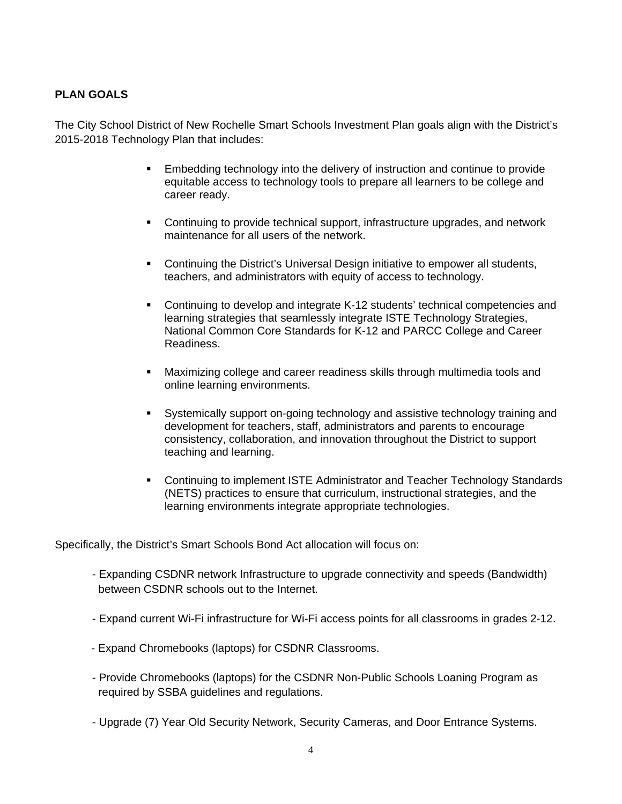## **PLAN GOALS**

The City School District of New Rochelle Smart Schools Investment Plan goals align with the District's 2015-2018 Technology Plan that includes:

- Embedding technology into the delivery of instruction and continue to provide equitable access to technology tools to prepare all learners to be college and career ready.
- Continuing to provide technical support, infrastructure upgrades, and network maintenance for all users of the network.
- Continuing the District's Universal Design initiative to empower all students, teachers, and administrators with equity of access to technology.
- Continuing to develop and integrate K-12 students' technical competencies and learning strategies that seamlessly integrate ISTE Technology Strategies, National Common Core Standards for K-12 and PARCC College and Career Readiness.
- Maximizing college and career readiness skills through multimedia tools and online learning environments.
- Systemically support on-going technology and assistive technology training and development for teachers, staff, administrators and parents to encourage consistency, collaboration, and innovation throughout the District to support teaching and learning.
- **Continuing to implement ISTE Administrator and Teacher Technology Standards** (NETS) practices to ensure that curriculum, instructional strategies, and the learning environments integrate appropriate technologies.

Specifically, the District's Smart Schools Bond Act allocation will focus on:

- Expanding CSDNR network Infrastructure to upgrade connectivity and speeds (Bandwidth) between CSDNR schools out to the Internet.
- Expand current Wi-Fi infrastructure for Wi-Fi access points for all classrooms in grades 2-12.
- Expand Chromebooks (laptops) for CSDNR Classrooms.
- Provide Chromebooks (laptops) for the CSDNR Non-Public Schools Loaning Program as required by SSBA guidelines and regulations.
- Upgrade (7) Year Old Security Network, Security Cameras, and Door Entrance Systems.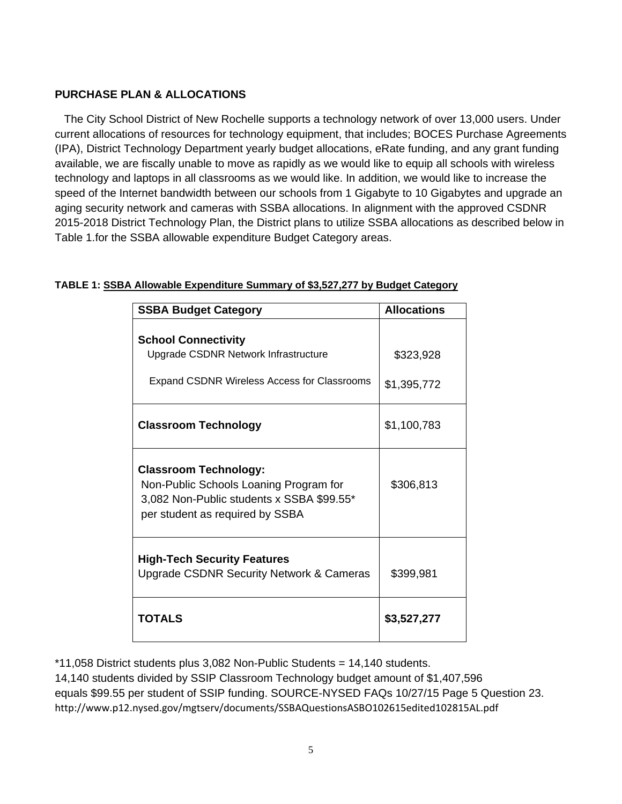## **PURCHASE PLAN & ALLOCATIONS**

 The City School District of New Rochelle supports a technology network of over 13,000 users. Under current allocations of resources for technology equipment, that includes; BOCES Purchase Agreements (IPA), District Technology Department yearly budget allocations, eRate funding, and any grant funding available, we are fiscally unable to move as rapidly as we would like to equip all schools with wireless technology and laptops in all classrooms as we would like. In addition, we would like to increase the speed of the Internet bandwidth between our schools from 1 Gigabyte to 10 Gigabytes and upgrade an aging security network and cameras with SSBA allocations. In alignment with the approved CSDNR 2015-2018 District Technology Plan, the District plans to utilize SSBA allocations as described below in Table 1.for the SSBA allowable expenditure Budget Category areas.

| <b>SSBA Budget Category</b>                                                                                                                            | <b>Allocations</b>       |
|--------------------------------------------------------------------------------------------------------------------------------------------------------|--------------------------|
| <b>School Connectivity</b><br>Upgrade CSDNR Network Infrastructure<br><b>Expand CSDNR Wireless Access for Classrooms</b>                               | \$323,928<br>\$1,395,772 |
| <b>Classroom Technology</b>                                                                                                                            | \$1,100,783              |
| <b>Classroom Technology:</b><br>Non-Public Schools Loaning Program for<br>3,082 Non-Public students x SSBA \$99.55*<br>per student as required by SSBA | \$306,813                |
| <b>High-Tech Security Features</b><br><b>Upgrade CSDNR Security Network &amp; Cameras</b>                                                              | \$399,981                |
| TOTALS                                                                                                                                                 | \$3,527,277              |

## **TABLE 1: SSBA Allowable Expenditure Summary of \$3,527,277 by Budget Category**

\*11,058 District students plus 3,082 Non-Public Students = 14,140 students.

14,140 students divided by SSIP Classroom Technology budget amount of \$1,407,596 equals \$99.55 per student of SSIP funding. SOURCE-NYSED FAQs 10/27/15 Page 5 Question 23. http://www.p12.nysed.gov/mgtserv/documents/SSBAQuestionsASBO102615edited102815AL.pdf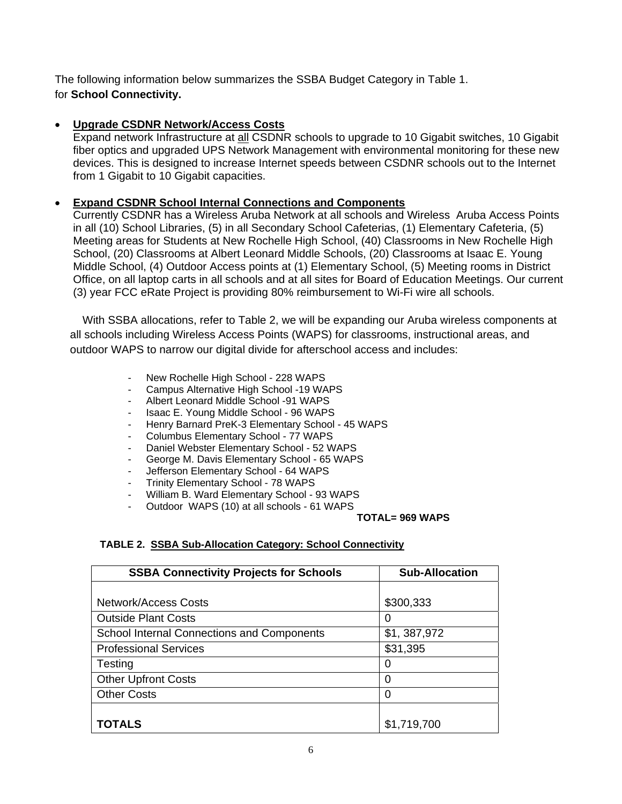The following information below summarizes the SSBA Budget Category in Table 1. for **School Connectivity.** 

## **Upgrade CSDNR Network/Access Costs**

Expand network Infrastructure at all CSDNR schools to upgrade to 10 Gigabit switches, 10 Gigabit fiber optics and upgraded UPS Network Management with environmental monitoring for these new devices. This is designed to increase Internet speeds between CSDNR schools out to the Internet from 1 Gigabit to 10 Gigabit capacities.

## **Expand CSDNR School Internal Connections and Components**

Currently CSDNR has a Wireless Aruba Network at all schools and Wireless Aruba Access Points in all (10) School Libraries, (5) in all Secondary School Cafeterias, (1) Elementary Cafeteria, (5) Meeting areas for Students at New Rochelle High School, (40) Classrooms in New Rochelle High School, (20) Classrooms at Albert Leonard Middle Schools, (20) Classrooms at Isaac E. Young Middle School, (4) Outdoor Access points at (1) Elementary School, (5) Meeting rooms in District Office, on all laptop carts in all schools and at all sites for Board of Education Meetings. Our current (3) year FCC eRate Project is providing 80% reimbursement to Wi-Fi wire all schools.

 With SSBA allocations, refer to Table 2, we will be expanding our Aruba wireless components at all schools including Wireless Access Points (WAPS) for classrooms, instructional areas, and outdoor WAPS to narrow our digital divide for afterschool access and includes:

- New Rochelle High School 228 WAPS
- Campus Alternative High School -19 WAPS
- Albert Leonard Middle School -91 WAPS
- Isaac E. Young Middle School 96 WAPS
- Henry Barnard PreK-3 Elementary School 45 WAPS
- Columbus Elementary School 77 WAPS
- Daniel Webster Elementary School 52 WAPS
- George M. Davis Elementary School 65 WAPS
- Jefferson Elementary School 64 WAPS
- Trinity Elementary School 78 WAPS
- William B. Ward Elementary School 93 WAPS
- Outdoor WAPS (10) at all schools 61 WAPS

#### **TOTAL= 969 WAPS**

#### **TABLE 2. SSBA Sub-Allocation Category: School Connectivity**

| <b>SSBA Connectivity Projects for Schools</b>     | <b>Sub-Allocation</b> |
|---------------------------------------------------|-----------------------|
|                                                   |                       |
| Network/Access Costs                              | \$300,333             |
| <b>Outside Plant Costs</b>                        | O                     |
| <b>School Internal Connections and Components</b> | \$1,387,972           |
| <b>Professional Services</b>                      | \$31,395              |
| Testing                                           | 0                     |
| <b>Other Upfront Costs</b>                        | 0                     |
| <b>Other Costs</b>                                | 0                     |
|                                                   |                       |
| TOTALS                                            | \$1,719,700           |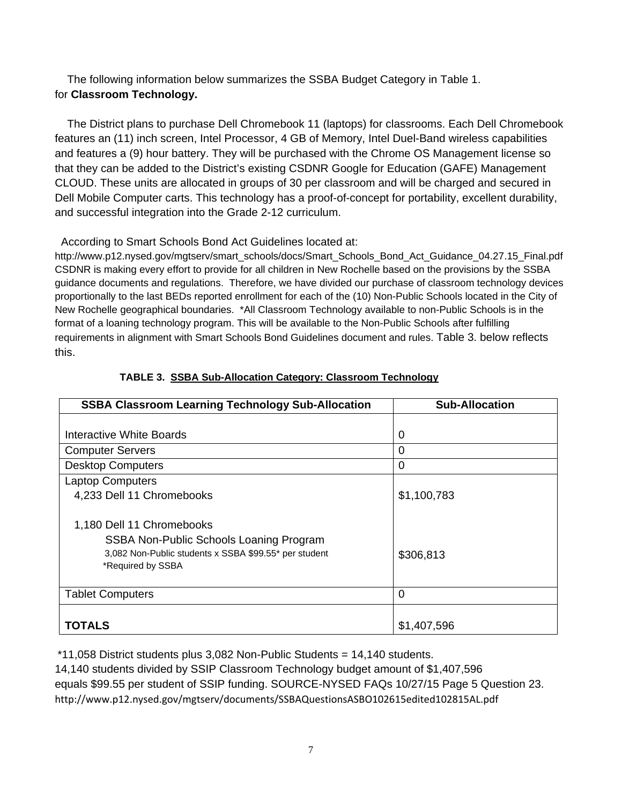The following information below summarizes the SSBA Budget Category in Table 1. for **Classroom Technology.** 

 The District plans to purchase Dell Chromebook 11 (laptops) for classrooms. Each Dell Chromebook features an (11) inch screen, Intel Processor, 4 GB of Memory, Intel Duel-Band wireless capabilities and features a (9) hour battery. They will be purchased with the Chrome OS Management license so that they can be added to the District's existing CSDNR Google for Education (GAFE) Management CLOUD. These units are allocated in groups of 30 per classroom and will be charged and secured in Dell Mobile Computer carts. This technology has a proof-of-concept for portability, excellent durability, and successful integration into the Grade 2-12 curriculum.

## According to Smart Schools Bond Act Guidelines located at:

http://www.p12.nysed.gov/mgtserv/smart\_schools/docs/Smart\_Schools\_Bond\_Act\_Guidance\_04.27.15\_Final.pdf CSDNR is making every effort to provide for all children in New Rochelle based on the provisions by the SSBA guidance documents and regulations. Therefore, we have divided our purchase of classroom technology devices proportionally to the last BEDs reported enrollment for each of the (10) Non-Public Schools located in the City of New Rochelle geographical boundaries. \*All Classroom Technology available to non-Public Schools is in the format of a loaning technology program. This will be available to the Non-Public Schools after fulfilling requirements in alignment with Smart Schools Bond Guidelines document and rules. Table 3. below reflects this.

| <b>SSBA Classroom Learning Technology Sub-Allocation</b> | <b>Sub-Allocation</b> |
|----------------------------------------------------------|-----------------------|
|                                                          |                       |
| Interactive White Boards                                 | 0                     |
| <b>Computer Servers</b>                                  | O                     |
| <b>Desktop Computers</b>                                 | 0                     |
| <b>Laptop Computers</b>                                  |                       |
| 4,233 Dell 11 Chromebooks                                | \$1,100,783           |
|                                                          |                       |
| 1,180 Dell 11 Chromebooks                                |                       |
| SSBA Non-Public Schools Loaning Program                  |                       |
| 3,082 Non-Public students x SSBA \$99.55* per student    | \$306,813             |
| *Required by SSBA                                        |                       |
|                                                          |                       |
| <b>Tablet Computers</b>                                  | $\Omega$              |
|                                                          |                       |
| TOTALS                                                   | \$1,407,596           |

## **TABLE 3. SSBA Sub-Allocation Category: Classroom Technology**

\*11,058 District students plus 3,082 Non-Public Students = 14,140 students.

14,140 students divided by SSIP Classroom Technology budget amount of \$1,407,596 equals \$99.55 per student of SSIP funding. SOURCE-NYSED FAQs 10/27/15 Page 5 Question 23. http://www.p12.nysed.gov/mgtserv/documents/SSBAQuestionsASBO102615edited102815AL.pdf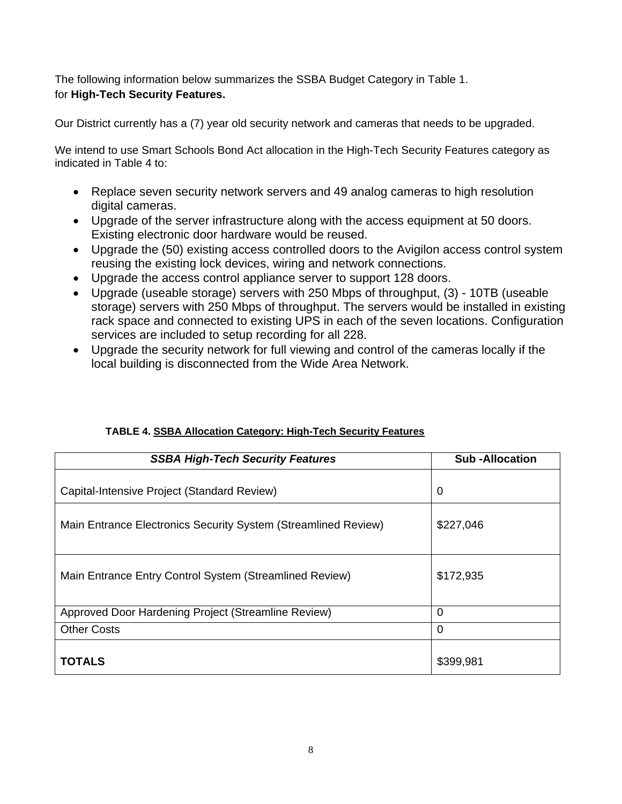The following information below summarizes the SSBA Budget Category in Table 1. for **High-Tech Security Features.** 

Our District currently has a (7) year old security network and cameras that needs to be upgraded.

We intend to use Smart Schools Bond Act allocation in the High-Tech Security Features category as indicated in Table 4 to:

- Replace seven security network servers and 49 analog cameras to high resolution digital cameras.
- Upgrade of the server infrastructure along with the access equipment at 50 doors. Existing electronic door hardware would be reused.
- Upgrade the (50) existing access controlled doors to the Avigilon access control system reusing the existing lock devices, wiring and network connections.
- Upgrade the access control appliance server to support 128 doors.
- Upgrade (useable storage) servers with 250 Mbps of throughput, (3) 10TB (useable storage) servers with 250 Mbps of throughput. The servers would be installed in existing rack space and connected to existing UPS in each of the seven locations. Configuration services are included to setup recording for all 228.
- Upgrade the security network for full viewing and control of the cameras locally if the local building is disconnected from the Wide Area Network.

| <b>SSBA High-Tech Security Features</b>                        | <b>Sub-Allocation</b> |
|----------------------------------------------------------------|-----------------------|
| Capital-Intensive Project (Standard Review)                    | 0                     |
| Main Entrance Electronics Security System (Streamlined Review) | \$227,046             |
| Main Entrance Entry Control System (Streamlined Review)        | \$172,935             |
| Approved Door Hardening Project (Streamline Review)            | $\overline{0}$        |
| <b>Other Costs</b>                                             | 0                     |
| <b>TOTALS</b>                                                  | \$399,981             |

# **TABLE 4. SSBA Allocation Category: High-Tech Security Features**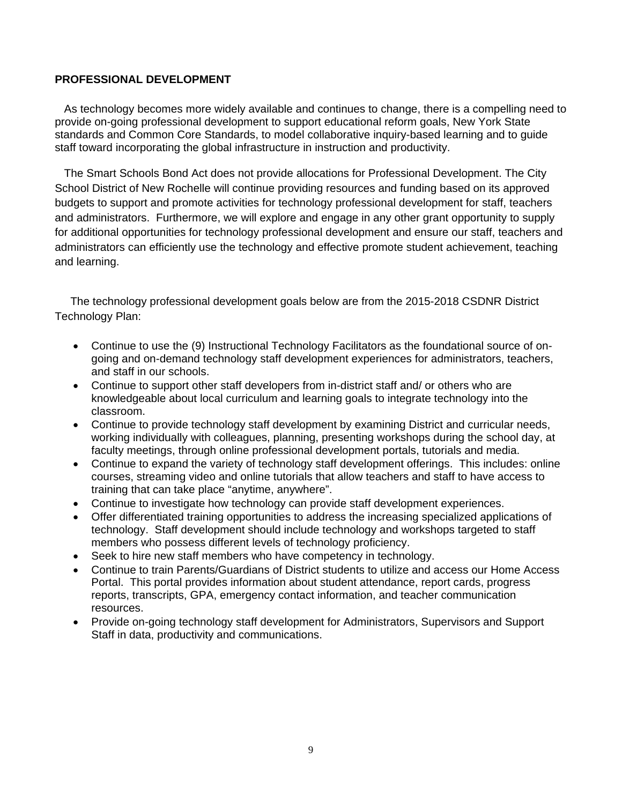#### **PROFESSIONAL DEVELOPMENT**

 As technology becomes more widely available and continues to change, there is a compelling need to provide on-going professional development to support educational reform goals, New York State standards and Common Core Standards, to model collaborative inquiry-based learning and to guide staff toward incorporating the global infrastructure in instruction and productivity.

 The Smart Schools Bond Act does not provide allocations for Professional Development. The City School District of New Rochelle will continue providing resources and funding based on its approved budgets to support and promote activities for technology professional development for staff, teachers and administrators. Furthermore, we will explore and engage in any other grant opportunity to supply for additional opportunities for technology professional development and ensure our staff, teachers and administrators can efficiently use the technology and effective promote student achievement, teaching and learning.

 The technology professional development goals below are from the 2015-2018 CSDNR District Technology Plan:

- Continue to use the (9) Instructional Technology Facilitators as the foundational source of ongoing and on-demand technology staff development experiences for administrators, teachers, and staff in our schools.
- Continue to support other staff developers from in-district staff and/ or others who are knowledgeable about local curriculum and learning goals to integrate technology into the classroom.
- Continue to provide technology staff development by examining District and curricular needs, working individually with colleagues, planning, presenting workshops during the school day, at faculty meetings, through online professional development portals, tutorials and media.
- Continue to expand the variety of technology staff development offerings. This includes: online courses, streaming video and online tutorials that allow teachers and staff to have access to training that can take place "anytime, anywhere".
- Continue to investigate how technology can provide staff development experiences.
- Offer differentiated training opportunities to address the increasing specialized applications of technology. Staff development should include technology and workshops targeted to staff members who possess different levels of technology proficiency.
- Seek to hire new staff members who have competency in technology.
- Continue to train Parents/Guardians of District students to utilize and access our Home Access Portal. This portal provides information about student attendance, report cards, progress reports, transcripts, GPA, emergency contact information, and teacher communication resources.
- Provide on-going technology staff development for Administrators, Supervisors and Support Staff in data, productivity and communications.